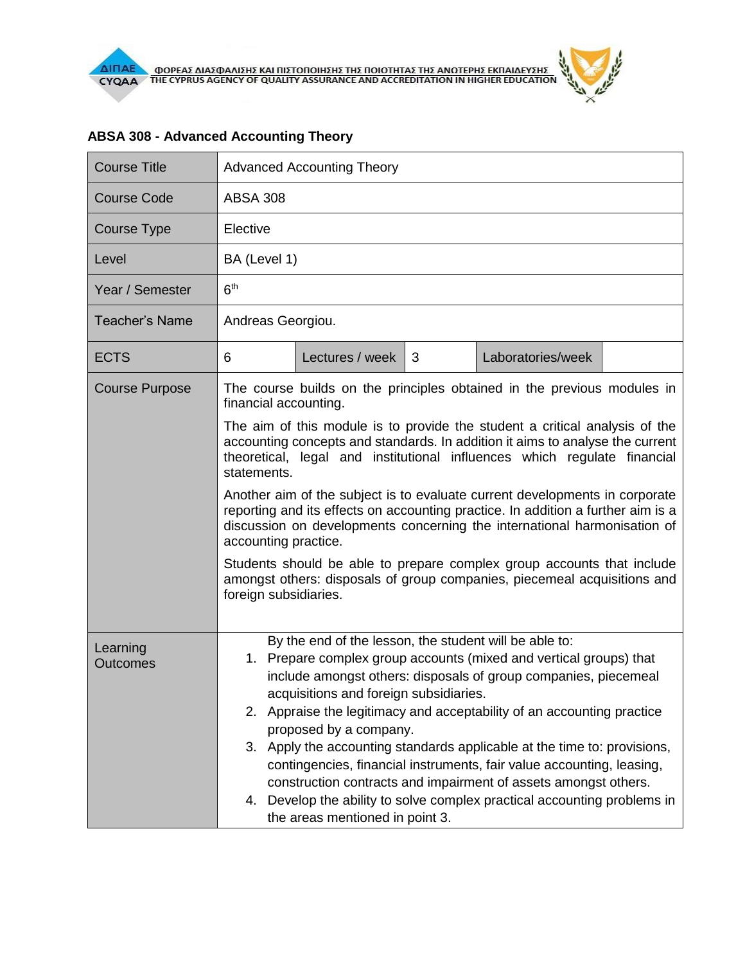| <b>Advanced Accounting Theory</b>                                                                                                                                                                                                                                                                                                                                                                                                                                                                                                                                                                                                                                                                                                                                                                                 |                 |   |                   |  |                                                                                                                                                                                                                                                                                                                                                                                                                                                                                                                                                                                                                                                            |  |  |                                 |  |
|-------------------------------------------------------------------------------------------------------------------------------------------------------------------------------------------------------------------------------------------------------------------------------------------------------------------------------------------------------------------------------------------------------------------------------------------------------------------------------------------------------------------------------------------------------------------------------------------------------------------------------------------------------------------------------------------------------------------------------------------------------------------------------------------------------------------|-----------------|---|-------------------|--|------------------------------------------------------------------------------------------------------------------------------------------------------------------------------------------------------------------------------------------------------------------------------------------------------------------------------------------------------------------------------------------------------------------------------------------------------------------------------------------------------------------------------------------------------------------------------------------------------------------------------------------------------------|--|--|---------------------------------|--|
| <b>ABSA 308</b>                                                                                                                                                                                                                                                                                                                                                                                                                                                                                                                                                                                                                                                                                                                                                                                                   |                 |   |                   |  |                                                                                                                                                                                                                                                                                                                                                                                                                                                                                                                                                                                                                                                            |  |  |                                 |  |
| Elective                                                                                                                                                                                                                                                                                                                                                                                                                                                                                                                                                                                                                                                                                                                                                                                                          |                 |   |                   |  |                                                                                                                                                                                                                                                                                                                                                                                                                                                                                                                                                                                                                                                            |  |  |                                 |  |
| BA (Level 1)                                                                                                                                                                                                                                                                                                                                                                                                                                                                                                                                                                                                                                                                                                                                                                                                      |                 |   |                   |  |                                                                                                                                                                                                                                                                                                                                                                                                                                                                                                                                                                                                                                                            |  |  |                                 |  |
| 6 <sup>th</sup>                                                                                                                                                                                                                                                                                                                                                                                                                                                                                                                                                                                                                                                                                                                                                                                                   |                 |   |                   |  |                                                                                                                                                                                                                                                                                                                                                                                                                                                                                                                                                                                                                                                            |  |  |                                 |  |
| Andreas Georgiou.                                                                                                                                                                                                                                                                                                                                                                                                                                                                                                                                                                                                                                                                                                                                                                                                 |                 |   |                   |  |                                                                                                                                                                                                                                                                                                                                                                                                                                                                                                                                                                                                                                                            |  |  |                                 |  |
| 6                                                                                                                                                                                                                                                                                                                                                                                                                                                                                                                                                                                                                                                                                                                                                                                                                 | Lectures / week | 3 | Laboratories/week |  |                                                                                                                                                                                                                                                                                                                                                                                                                                                                                                                                                                                                                                                            |  |  |                                 |  |
| The course builds on the principles obtained in the previous modules in<br>financial accounting.<br>The aim of this module is to provide the student a critical analysis of the<br>accounting concepts and standards. In addition it aims to analyse the current<br>theoretical, legal and institutional influences which regulate financial<br>statements.<br>Another aim of the subject is to evaluate current developments in corporate<br>reporting and its effects on accounting practice. In addition a further aim is a<br>discussion on developments concerning the international harmonisation of<br>accounting practice.<br>Students should be able to prepare complex group accounts that include<br>amongst others: disposals of group companies, piecemeal acquisitions and<br>foreign subsidiaries. |                 |   |                   |  |                                                                                                                                                                                                                                                                                                                                                                                                                                                                                                                                                                                                                                                            |  |  |                                 |  |
|                                                                                                                                                                                                                                                                                                                                                                                                                                                                                                                                                                                                                                                                                                                                                                                                                   |                 |   |                   |  | By the end of the lesson, the student will be able to:<br>Prepare complex group accounts (mixed and vertical groups) that<br>1.<br>include amongst others: disposals of group companies, piecemeal<br>acquisitions and foreign subsidiaries.<br>Appraise the legitimacy and acceptability of an accounting practice<br>2.<br>proposed by a company.<br>3. Apply the accounting standards applicable at the time to: provisions,<br>contingencies, financial instruments, fair value accounting, leasing,<br>construction contracts and impairment of assets amongst others.<br>Develop the ability to solve complex practical accounting problems in<br>4. |  |  |                                 |  |
|                                                                                                                                                                                                                                                                                                                                                                                                                                                                                                                                                                                                                                                                                                                                                                                                                   |                 |   |                   |  |                                                                                                                                                                                                                                                                                                                                                                                                                                                                                                                                                                                                                                                            |  |  | the areas mentioned in point 3. |  |

## **ABSA 308 - Advanced Accounting Theory**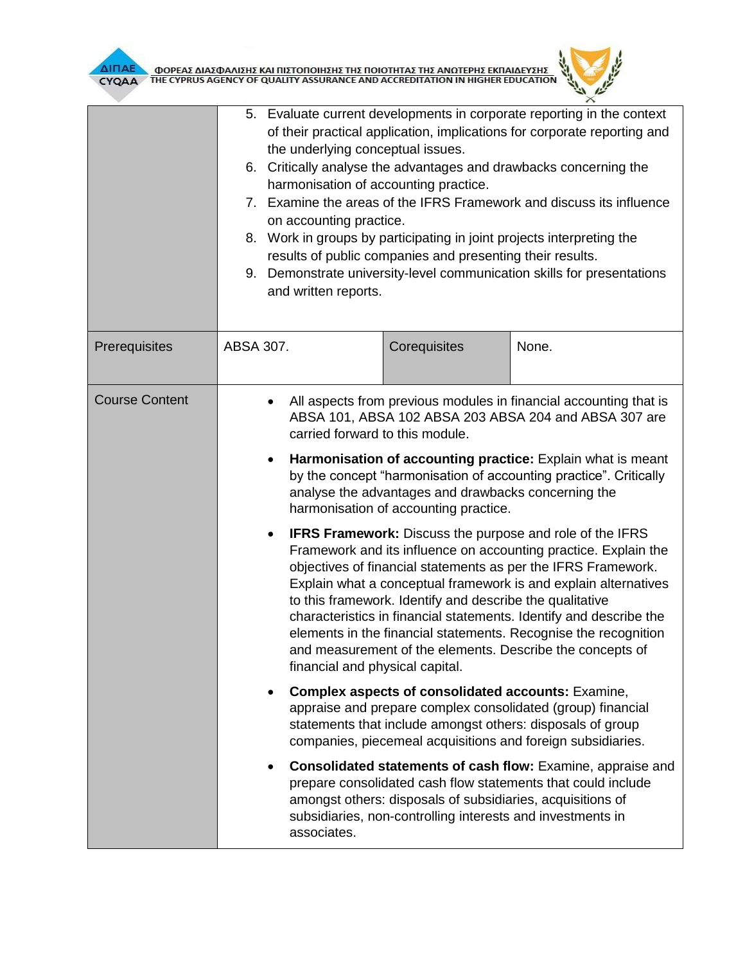

| ΔΙΠΑΕ<br>ΦΟΡΕΑΣ ΔΙΑΣΦΑΛΙΣΗΣ ΚΑΙ ΠΙΣΤΟΠΟΙΗΣΗΣ ΤΗΣ ΠΟΙΟΤΗΤΑΣ ΤΗΣ ΑΝΩΤΕΡΗΣ ΕΚΠΑΙΔΕΥΣΗΣ<br>ΤΗΕ CYPRUS AGENCY OF QUALITY ASSURANCE AND ACCREDITATION IN HIGHER EDUCATION<br>CYQAA |                                                                                                                                                                                                                                                                                                                                                                                                                                                                                                                                                                                                                                                                                                                                                                                                                                                                                                                                                                                  |                                                                                                                          |                                                                                                                             |  |  |
|------------------------------------------------------------------------------------------------------------------------------------------------------------------------------|----------------------------------------------------------------------------------------------------------------------------------------------------------------------------------------------------------------------------------------------------------------------------------------------------------------------------------------------------------------------------------------------------------------------------------------------------------------------------------------------------------------------------------------------------------------------------------------------------------------------------------------------------------------------------------------------------------------------------------------------------------------------------------------------------------------------------------------------------------------------------------------------------------------------------------------------------------------------------------|--------------------------------------------------------------------------------------------------------------------------|-----------------------------------------------------------------------------------------------------------------------------|--|--|
|                                                                                                                                                                              | 5. Evaluate current developments in corporate reporting in the context<br>of their practical application, implications for corporate reporting and<br>the underlying conceptual issues.<br>6. Critically analyse the advantages and drawbacks concerning the<br>harmonisation of accounting practice.<br>Examine the areas of the IFRS Framework and discuss its influence<br>$7_{\scriptscriptstyle{\sim}}$<br>on accounting practice.<br>Work in groups by participating in joint projects interpreting the<br>8.<br>results of public companies and presenting their results.<br>9. Demonstrate university-level communication skills for presentations<br>and written reports.                                                                                                                                                                                                                                                                                               |                                                                                                                          |                                                                                                                             |  |  |
| Prerequisites                                                                                                                                                                | ABSA 307.                                                                                                                                                                                                                                                                                                                                                                                                                                                                                                                                                                                                                                                                                                                                                                                                                                                                                                                                                                        | Corequisites                                                                                                             | None.                                                                                                                       |  |  |
| <b>Course Content</b>                                                                                                                                                        | All aspects from previous modules in financial accounting that is<br>ABSA 101, ABSA 102 ABSA 203 ABSA 204 and ABSA 307 are<br>carried forward to this module.<br>Harmonisation of accounting practice: Explain what is meant<br>by the concept "harmonisation of accounting practice". Critically<br>analyse the advantages and drawbacks concerning the<br>harmonisation of accounting practice.<br><b>IFRS Framework:</b> Discuss the purpose and role of the IFRS<br>Framework and its influence on accounting practice. Explain the<br>objectives of financial statements as per the IFRS Framework.<br>Explain what a conceptual framework is and explain alternatives<br>to this framework. Identify and describe the qualitative<br>characteristics in financial statements. Identify and describe the<br>elements in the financial statements. Recognise the recognition<br>and measurement of the elements. Describe the concepts of<br>financial and physical capital. |                                                                                                                          |                                                                                                                             |  |  |
|                                                                                                                                                                              | <b>Complex aspects of consolidated accounts: Examine,</b><br>appraise and prepare complex consolidated (group) financial<br>statements that include amongst others: disposals of group<br>companies, piecemeal acquisitions and foreign subsidiaries.                                                                                                                                                                                                                                                                                                                                                                                                                                                                                                                                                                                                                                                                                                                            |                                                                                                                          |                                                                                                                             |  |  |
|                                                                                                                                                                              | associates.                                                                                                                                                                                                                                                                                                                                                                                                                                                                                                                                                                                                                                                                                                                                                                                                                                                                                                                                                                      | amongst others: disposals of subsidiaries, acquisitions of<br>subsidiaries, non-controlling interests and investments in | Consolidated statements of cash flow: Examine, appraise and<br>prepare consolidated cash flow statements that could include |  |  |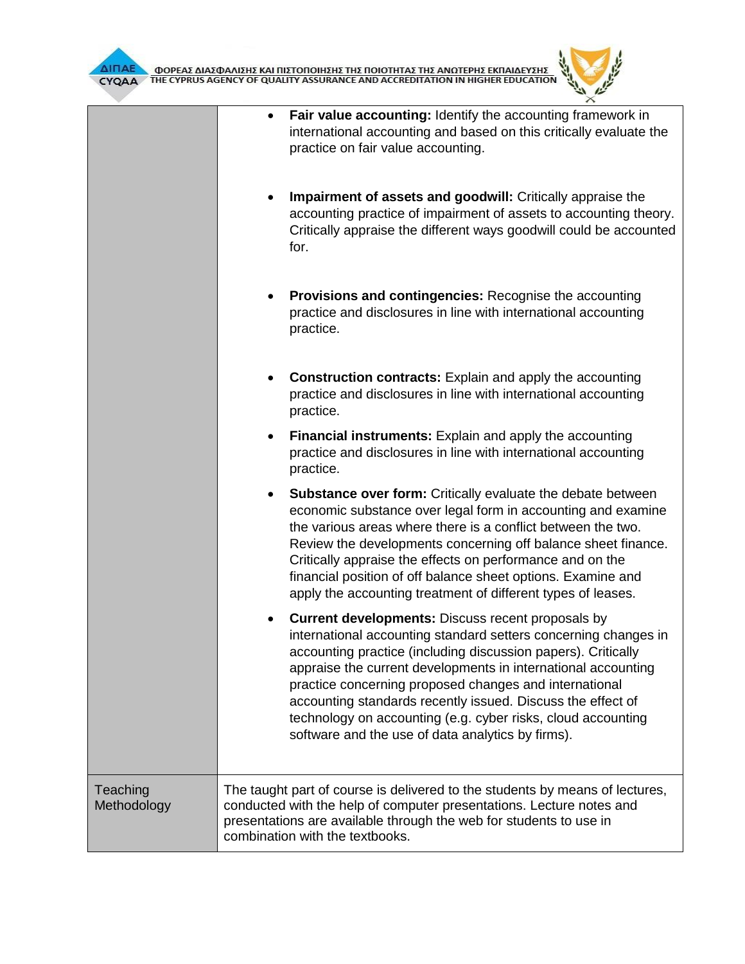